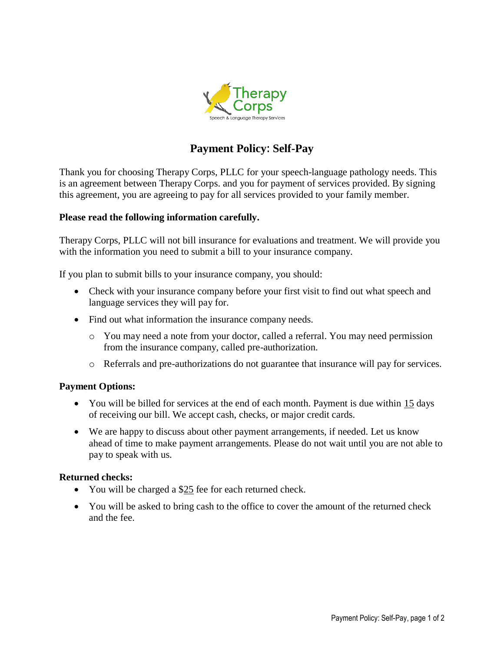

# **Payment Policy: Self-Pay**

Thank you for choosing Therapy Corps, PLLC for your speech-language pathology needs. This is an agreement between Therapy Corps. and you for payment of services provided. By signing this agreement, you are agreeing to pay for all services provided to your family member.

## **Please read the following information carefully.**

Therapy Corps, PLLC will not bill insurance for evaluations and treatment. We will provide you with the information you need to submit a bill to your insurance company.

If you plan to submit bills to your insurance company, you should:

- Check with your insurance company before your first visit to find out what speech and language services they will pay for.
- Find out what information the insurance company needs.
	- o You may need a note from your doctor, called a referral. You may need permission from the insurance company, called pre-authorization.
	- o Referrals and pre-authorizations do not guarantee that insurance will pay for services.

### **Payment Options:**

- You will be billed for services at the end of each month. Payment is due within 15 days of receiving our bill. We accept cash, checks, or major credit cards.
- We are happy to discuss about other payment arrangements, if needed. Let us know ahead of time to make payment arrangements. Please do not wait until you are not able to pay to speak with us.

### **Returned checks:**

- You will be charged a \$25 fee for each returned check.
- You will be asked to bring cash to the office to cover the amount of the returned check and the fee.